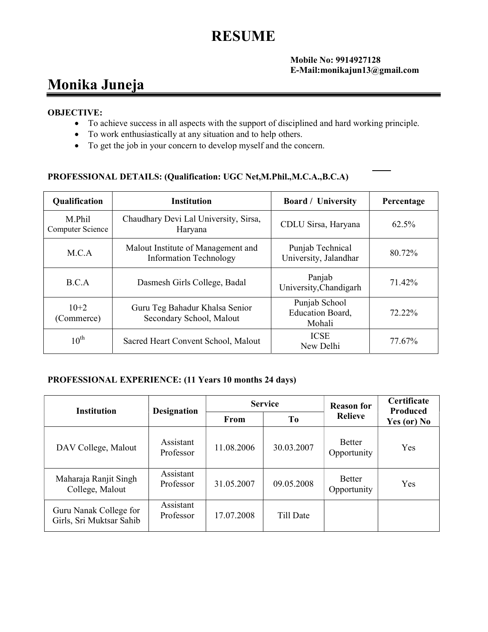# RESUME

#### Mobile No: 9914927128 E-Mail:monikajun13@gmail.com

## Monika Juneja

#### OBJECTIVE:

- To achieve success in all aspects with the support of disciplined and hard working principle.
- To work enthusiastically at any situation and to help others.
- To get the job in your concern to develop myself and the concern.

### PROFESSIONAL DETAILS: (Qualification: UGC Net,M.Phil.,M.C.A.,B.C.A)

| <b>Qualification</b>       | <b>Institution</b>                                                  | <b>Board</b> / University                   | Percentage |
|----------------------------|---------------------------------------------------------------------|---------------------------------------------|------------|
| M.Phil<br>Computer Science | Chaudhary Devi Lal University, Sirsa,<br>Haryana                    | CDLU Sirsa, Haryana                         | 62.5%      |
| M.C.A                      | Malout Institute of Management and<br><b>Information Technology</b> | Punjab Technical<br>University, Jalandhar   | 80.72%     |
| B.C.A                      | Dasmesh Girls College, Badal                                        | Panjab<br>University, Chandigarh            | 71.42%     |
| $10+2$<br>(Commerce)       | Guru Teg Bahadur Khalsa Senior<br>Secondary School, Malout          | Punjab School<br>Education Board,<br>Mohali | 72.22%     |
| $10^{\text{th}}$           | Sacred Heart Convent School, Malout                                 | <b>ICSE</b><br>New Delhi                    | 77.67%     |

## PROFESSIONAL EXPERIENCE: (11 Years 10 months 24 days)

| <b>Institution</b>                                 | <b>Designation</b>     | <b>Service</b> |                | <b>Reason for</b>            | Certificate<br><b>Produced</b> |
|----------------------------------------------------|------------------------|----------------|----------------|------------------------------|--------------------------------|
|                                                    |                        | From           | T <sub>0</sub> | <b>Relieve</b>               | Yes (or) No                    |
| DAV College, Malout                                | Assistant<br>Professor | 11.08.2006     | 30.03.2007     | <b>Better</b><br>Opportunity | Yes                            |
| Maharaja Ranjit Singh<br>College, Malout           | Assistant<br>Professor | 31.05.2007     | 09.05.2008     | <b>Better</b><br>Opportunity | Yes                            |
| Guru Nanak College for<br>Girls, Sri Muktsar Sahib | Assistant<br>Professor | 17.07.2008     | Till Date      |                              |                                |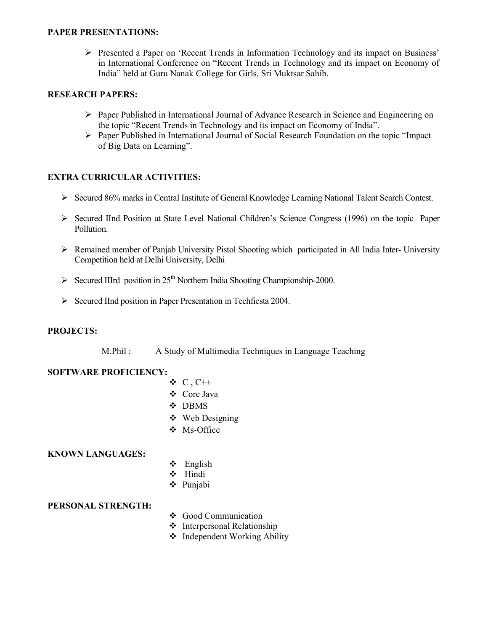#### PAPER PRESENTATIONS:

 Presented a Paper on 'Recent Trends in Information Technology and its impact on Business' in International Conference on "Recent Trends in Technology and its impact on Economy of India" held at Guru Nanak College for Girls, Sri Muktsar Sahib.

#### RESEARCH PAPERS:

- Paper Published in International Journal of Advance Research in Science and Engineering on the topic "Recent Trends in Technology and its impact on Economy of India".
- $\triangleright$  Paper Published in International Journal of Social Research Foundation on the topic "Impact" of Big Data on Learning".

#### EXTRA CURRICULAR ACTIVITIES:

- Secured 86% marks in Central Institute of General Knowledge Learning National Talent Search Contest.
- Secured IInd Position at State Level National Children's Science Congress (1996) on the topic Paper Pollution.
- Remained member of Panjab University Pistol Shooting which participated in All India Inter- University Competition held at Delhi University, Delhi
- $\triangleright$  Secured IIIrd position in 25<sup>th</sup> Northern India Shooting Championship-2000.
- $\triangleright$  Secured IInd position in Paper Presentation in Techfiesta 2004.

#### PROJECTS:

M.Phil : A Study of Multimedia Techniques in Language Teaching

#### SOFTWARE PROFICIENCY:

- $\triangleleft C$ , C++
- Core Java
- DBMS
- Web Designing
- Ms-Office

#### KNOWN LANGUAGES:

- $\div$  English
- Hindi
- Punjabi

#### PERSONAL STRENGTH:

- Good Communication
- Interpersonal Relationship
- Independent Working Ability